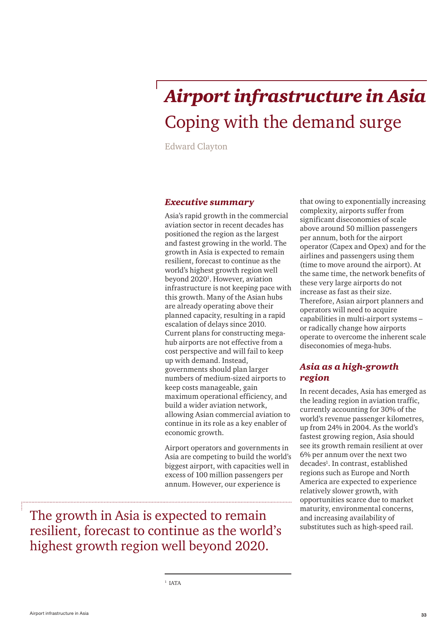# *Airport infrastructure in Asia* Coping with the demand surge

Edward Clayton

### *Executive summary*

Asia's rapid growth in the commercial aviation sector in recent decades has positioned the region as the largest and fastest growing in the world. The growth in Asia is expected to remain resilient, forecast to continue as the world's highest growth region well beyond 2020<sup>1</sup>. However, aviation infrastructure is not keeping pace with this growth. Many of the Asian hubs are already operating above their planned capacity, resulting in a rapid escalation of delays since 2010. Current plans for constructing megahub airports are not effective from a cost perspective and will fail to keep up with demand. Instead, governments should plan larger numbers of medium-sized airports to keep costs manageable, gain maximum operational efficiency, and build a wider aviation network, allowing Asian commercial aviation to continue in its role as a key enabler of economic growth.

Airport operators and governments in Asia are competing to build the world's biggest airport, with capacities well in excess of 100 million passengers per annum. However, our experience is

The growth in Asia is expected to remain resilient, forecast to continue as the world's highest growth region well beyond 2020.

that owing to exponentially increasing complexity, airports suffer from significant diseconomies of scale above around 50 million passengers per annum, both for the airport operator (Capex and Opex) and for the airlines and passengers using them (time to move around the airport). At the same time, the network benefits of these very large airports do not increase as fast as their size. Therefore, Asian airport planners and operators will need to acquire capabilities in multi-airport systems – or radically change how airports operate to overcome the inherent scale diseconomies of mega-hubs.

### *Asia as a high-growth region*

In recent decades, Asia has emerged as the leading region in aviation traffic, currently accounting for 30% of the world's revenue passenger kilometres, up from 24% in 2004. As the world's fastest growing region, Asia should see its growth remain resilient at over 6% per annum over the next two decades<sup>1</sup>. In contrast, established regions such as Europe and North America are expected to experience relatively slower growth, with opportunities scarce due to market maturity, environmental concerns, and increasing availability of substitutes such as high-speed rail.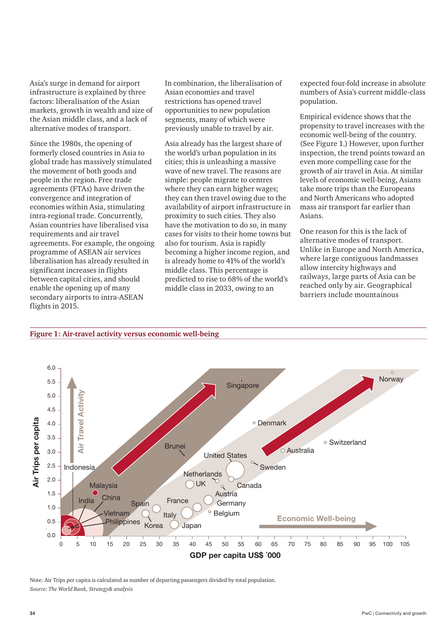Asia's surge in demand for airport infrastructure is explained by three factors: liberalisation of the Asian markets, growth in wealth and size of the Asian middle class, and a lack of alternative modes of transport.

Since the 1980s, the opening of formerly closed countries in Asia to global trade has massively stimulated the movement of both goods and people in the region. Free trade agreements (FTAs) have driven the convergence and integration of economies within Asia, stimulating intra-regional trade. Concurrently, Asian countries have liberalised visa requirements and air travel agreements. For example, the ongoing programme of ASEAN air services liberalisation has already resulted in significant increases in flights between capital cities, and should enable the opening up of many secondary airports to intra-ASEAN flights in 2015.

**Figure 1: Air-travel activity versus economic well-being**

In combination, the liberalisation of Asian economies and travel restrictions has opened travel opportunities to new population segments, many of which were previously unable to travel by air.

Asia already has the largest share of the world's urban population in its cities; this is unleashing a massive wave of new travel. The reasons are simple: people migrate to centres where they can earn higher wages; they can then travel owing due to the availability of airport infrastructure in proximity to such cities. They also have the motivation to do so, in many cases for visits to their home towns but also for tourism. Asia is rapidly becoming a higher income region, and is already home to 41% of the world's middle class. This percentage is predicted to rise to 68% of the world's middle class in 2033, owing to an

expected four-fold increase in absolute numbers of Asia's current middle-class population.

Empirical evidence shows that the propensity to travel increases with the economic well-being of the country. (See Figure 1.) However, upon further inspection, the trend points toward an even more compelling case for the growth of air travel in Asia. At similar levels of economic well-being, Asians take more trips than the Europeans and North Americans who adopted mass air transport far earlier than Asians.

One reason for this is the lack of alternative modes of transport. Unlike in Europe and North America, where large contiguous landmasses allow intercity highways and railways, large parts of Asia can be reached only by air. Geographical barriers include mountainous



Note: Air Trips per capita is calculated as number of departing passengers divided by total population. *Source: The World Bank, Strategy& analysis*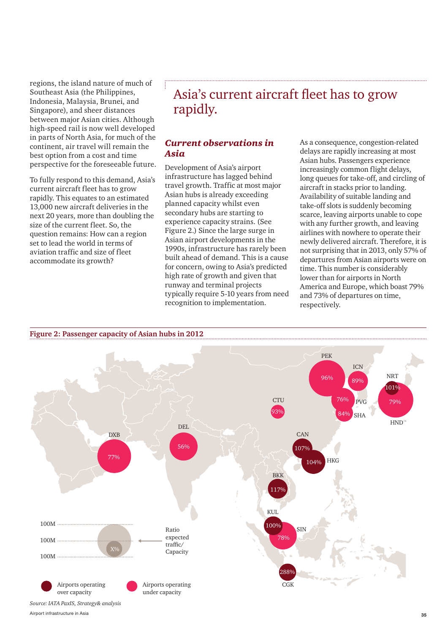regions, the island nature of much of Southeast Asia (the Philippines, Indonesia, Malaysia, Brunei, and Singapore), and sheer distances between major Asian cities. Although high-speed rail is now well developed in parts of North Asia, for much of the continent, air travel will remain the best option from a cost and time perspective for the foreseeable future.

To fully respond to this demand, Asia's current aircraft fleet has to grow rapidly. This equates to an estimated 13,000 new aircraft deliveries in the next 20 years, more than doubling the size of the current fleet. So, the question remains: How can a region set to lead the world in terms of aviation traffic and size of fleet accommodate its growth?

**Figure 2: Passenger capacity of Asian hubs in 2012**

# Asia's current aircraft fleet has to grow rapidly.

## *Current observations in Asia*

Development of Asia's airport infrastructure has lagged behind travel growth. Traffic at most major Asian hubs is already exceeding planned capacity whilst even secondary hubs are starting to experience capacity strains. (See Figure 2.) Since the large surge in Asian airport developments in the 1990s, infrastructure has rarely been built ahead of demand. This is a cause for concern, owing to Asia's predicted high rate of growth and given that runway and terminal projects typically require 5-10 years from need recognition to implementation.

As a consequence, congestion-related delays are rapidly increasing at most Asian hubs. Passengers experience increasingly common flight delays, long queues for take-off, and circling of aircraft in stacks prior to landing. Availability of suitable landing and take-off slots is suddenly becoming scarce, leaving airports unable to cope with any further growth, and leaving airlines with nowhere to operate their newly delivered aircraft. Therefore, it is not surprising that in 2013, only 57% of departures from Asian airports were on time. This number is considerably lower than for airports in North America and Europe, which boast 79% and 73% of departures on time, respectively.



35 Airport infrastructure in Asia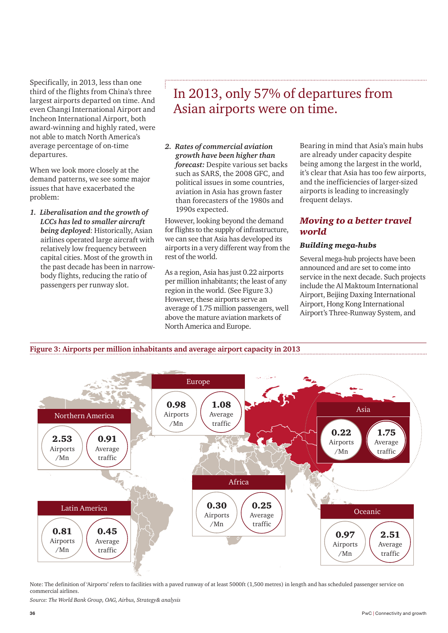Specifically, in 2013, less than one third of the flights from China's three largest airports departed on time. And even Changi International Airport and Incheon International Airport, both award-winning and highly rated, were not able to match North America's average percentage of on-time departures.

When we look more closely at the demand patterns, we see some major issues that have exacerbated the problem:

*1. Liberalisation and the growth of LCCs has led to smaller aircraft being deployed*: Historically, Asian airlines operated large aircraft with relatively low frequency between capital cities. Most of the growth in the past decade has been in narrowbody flights, reducing the ratio of passengers per runway slot.

# In 2013, only 57% of departures from Asian airports were on time.

*2. Rates of commercial aviation growth have been higher than forecast:* Despite various set backs such as SARS, the 2008 GFC, and political issues in some countries, aviation in Asia has grown faster than forecasters of the 1980s and 1990s expected.

However, looking beyond the demand for flights to the supply of infrastructure, we can see that Asia has developed its airports in a very different way from the rest of the world.

As a region, Asia has just 0.22 airports per million inhabitants; the least of any region in the world. (See Figure 3.) However, these airports serve an average of 1.75 million passengers, well above the mature aviation markets of North America and Europe.

Bearing in mind that Asia's main hubs are already under capacity despite being among the largest in the world, it's clear that Asia has too few airports, and the inefficiencies of larger-sized airports is leading to increasingly frequent delays.

# *Moving to a better travel world*

### *Building mega-hubs*

Several mega-hub projects have been announced and are set to come into service in the next decade. Such projects include the Al Maktoum International Airport, Beijing Daxing International Airport, Hong Kong International Airport's Three-Runway System, and





Note: The definition of 'Airports' refers to facilities with a paved runway of at least 5000ft (1,500 metres) in length and has scheduled passenger service on commercial airlines.

*Source: The World Bank Group, OAG, Airbus, Strategy& analysis*